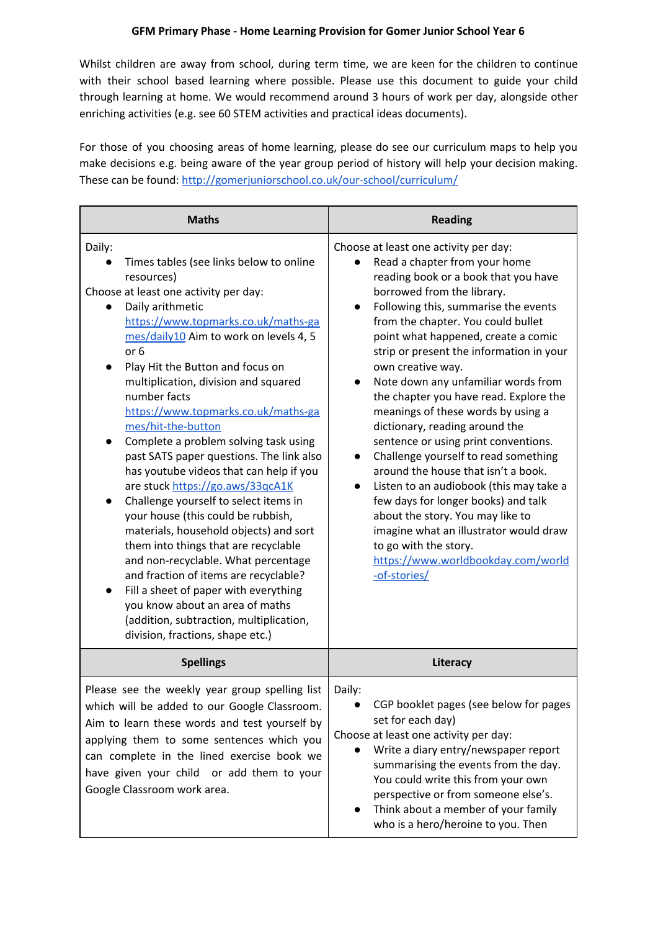Whilst children are away from school, during term time, we are keen for the children to continue with their school based learning where possible. Please use this document to guide your child through learning at home. We would recommend around 3 hours of work per day, alongside other enriching activities (e.g. see 60 STEM activities and practical ideas documents).

For those of you choosing areas of home learning, please do see our curriculum maps to help you make decisions e.g. being aware of the year group period of history will help your decision making. These can be found: <http://gomerjuniorschool.co.uk/our-school/curriculum/>

| <b>Maths</b>                                                                                                                                                                                                                                                                                                                                                                                                                                                                                                                                                                                                                                                                                                                                                                                                                                                                                                                                                   | <b>Reading</b>                                                                                                                                                                                                                                                                                                                                                                                                                                                                                                                                                                                                                                                                                                                                                                                                                                                    |
|----------------------------------------------------------------------------------------------------------------------------------------------------------------------------------------------------------------------------------------------------------------------------------------------------------------------------------------------------------------------------------------------------------------------------------------------------------------------------------------------------------------------------------------------------------------------------------------------------------------------------------------------------------------------------------------------------------------------------------------------------------------------------------------------------------------------------------------------------------------------------------------------------------------------------------------------------------------|-------------------------------------------------------------------------------------------------------------------------------------------------------------------------------------------------------------------------------------------------------------------------------------------------------------------------------------------------------------------------------------------------------------------------------------------------------------------------------------------------------------------------------------------------------------------------------------------------------------------------------------------------------------------------------------------------------------------------------------------------------------------------------------------------------------------------------------------------------------------|
| Daily:<br>Times tables (see links below to online<br>resources)<br>Choose at least one activity per day:<br>Daily arithmetic<br>https://www.topmarks.co.uk/maths-ga<br>mes/daily10 Aim to work on levels 4, 5<br>or 6<br>Play Hit the Button and focus on<br>multiplication, division and squared<br>number facts<br>https://www.topmarks.co.uk/maths-ga<br>mes/hit-the-button<br>Complete a problem solving task using<br>past SATS paper questions. The link also<br>has youtube videos that can help if you<br>are stuck https://go.aws/33qcA1K<br>Challenge yourself to select items in<br>your house (this could be rubbish,<br>materials, household objects) and sort<br>them into things that are recyclable<br>and non-recyclable. What percentage<br>and fraction of items are recyclable?<br>Fill a sheet of paper with everything<br>you know about an area of maths<br>(addition, subtraction, multiplication,<br>division, fractions, shape etc.) | Choose at least one activity per day:<br>Read a chapter from your home<br>reading book or a book that you have<br>borrowed from the library.<br>Following this, summarise the events<br>from the chapter. You could bullet<br>point what happened, create a comic<br>strip or present the information in your<br>own creative way.<br>Note down any unfamiliar words from<br>the chapter you have read. Explore the<br>meanings of these words by using a<br>dictionary, reading around the<br>sentence or using print conventions.<br>Challenge yourself to read something<br>around the house that isn't a book.<br>Listen to an audiobook (this may take a<br>few days for longer books) and talk<br>about the story. You may like to<br>imagine what an illustrator would draw<br>to go with the story.<br>https://www.worldbookday.com/world<br>-of-stories/ |
| <b>Spellings</b>                                                                                                                                                                                                                                                                                                                                                                                                                                                                                                                                                                                                                                                                                                                                                                                                                                                                                                                                               | Literacy                                                                                                                                                                                                                                                                                                                                                                                                                                                                                                                                                                                                                                                                                                                                                                                                                                                          |
| Please see the weekly year group spelling list<br>which will be added to our Google Classroom.<br>Aim to learn these words and test yourself by<br>applying them to some sentences which you<br>can complete in the lined exercise book we<br>have given your child or add them to your<br>Google Classroom work area.                                                                                                                                                                                                                                                                                                                                                                                                                                                                                                                                                                                                                                         | Daily:<br>CGP booklet pages (see below for pages<br>set for each day)<br>Choose at least one activity per day:<br>Write a diary entry/newspaper report<br>summarising the events from the day.<br>You could write this from your own<br>perspective or from someone else's.<br>Think about a member of your family<br>who is a hero/heroine to you. Then                                                                                                                                                                                                                                                                                                                                                                                                                                                                                                          |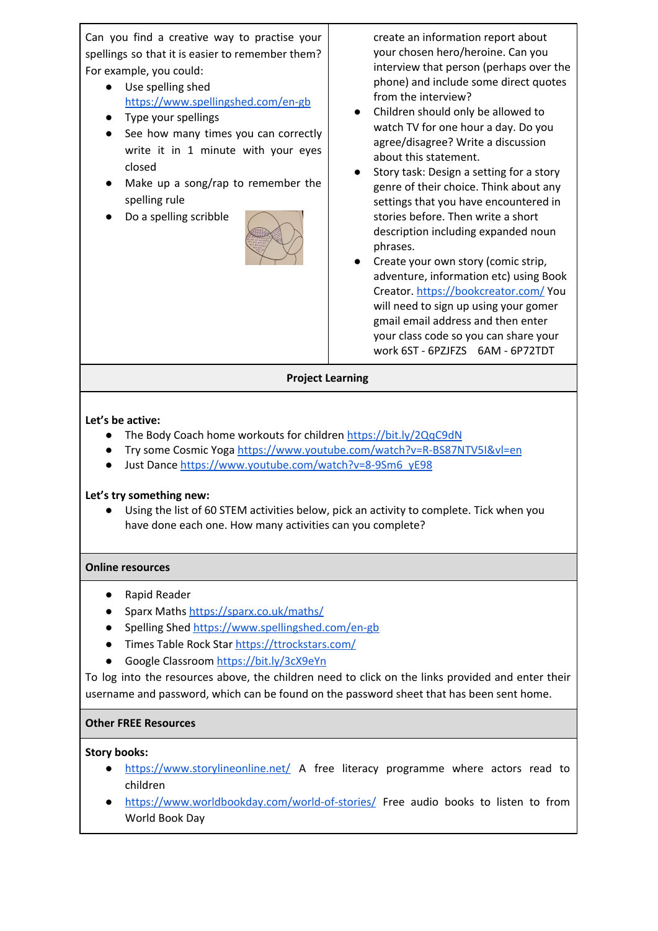Can you find a creative way to practise your spellings so that it is easier to remember them? For example, you could:

- Use spelling shed <https://www.spellingshed.com/en-gb>
- Type your spellings
- See how many times you can correctly write it in 1 minute with your eyes closed
- Make up a song/rap to remember the spelling rule
- Do a spelling scribble



create an information report about your chosen hero/heroine. Can you interview that person (perhaps over the phone) and include some direct quotes from the interview?

- Children should only be allowed to watch TV for one hour a day. Do you agree/disagree? Write a discussion about this statement.
- Story task: Design a setting for a story genre of their choice. Think about any settings that you have encountered in stories before. Then write a short description including expanded noun phrases.
- Create your own story (comic strip, adventure, information etc) using Book Creator. <https://bookcreator.com/> You will need to sign up using your gomer gmail email address and then enter your class code so you can share your work 6ST - 6PZJFZS 6AM - 6P72TDT

## **Project Learning**

# **Let's be active:**

- **•** The Body Coach home workouts for children <https://bit.ly/2QqC9dN>
- Try some Cosmic Yoga <https://www.youtube.com/watch?v=R-BS87NTV5I&vl=en>
- Just Dance [https://www.youtube.com/watch?v=8-9Sm6\\_yE98](https://www.youtube.com/watch?v=8-9Sm6_yE98)

# **Let's try something new:**

● Using the list of 60 STEM activities below, pick an activity to complete. Tick when you have done each one. How many activities can you complete?

## **Online resources**

- Rapid Reader
- Sparx Maths <https://sparx.co.uk/maths/>
- Spelling Shed <https://www.spellingshed.com/en-gb>
- Times Table Rock Star <https://ttrockstars.com/>
- Google Classroom <https://bit.ly/3cX9eYn>

To log into the resources above, the children need to click on the links provided and enter their username and password, which can be found on the password sheet that has been sent home.

# **Other FREE Resources**

# **Story books:**

- <https://www.storylineonline.net/> A free literacy programme where actors read to children
- <https://www.worldbookday.com/world-of-stories/> Free audio books to listen to from World Book Day